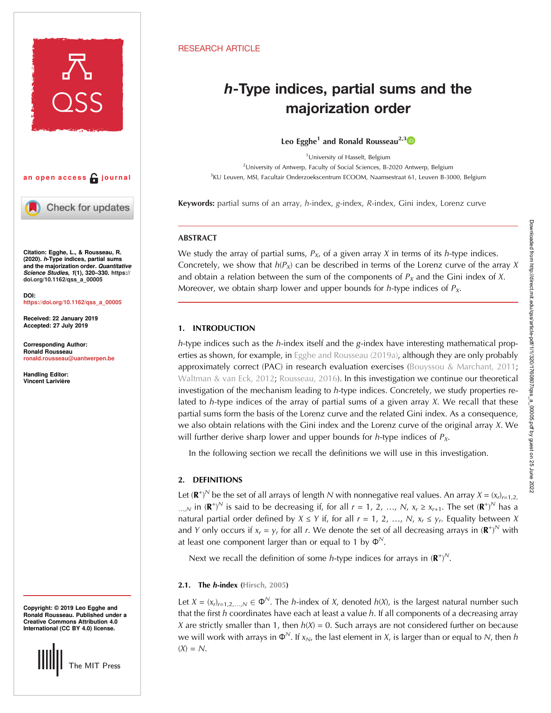

## an open access  $\bigcap$  journal

Check for updates

Citation: Egghe, L., & Rousseau, R. (2020). h-Type indices, partial sums and the majorization order. Quantitative Science Studies, 1(1), 320–330. [https://](https://doi.org/10.1162/qss_a_00005) [doi.org/10.1162/qss\\_a\\_00005](https://doi.org/10.1162/qss_a_00005)

DOI: [https://doi.org/10.1162/qss\\_a\\_00005](https://doi.org/10.1162/qss_a_00005)

Received: 22 January 2019 Accepted: 27 July 2019

Corresponding Author: Ronald Rousseau [ronald.rousseau@uantwerpen.be](mailto:ronald.rousseau@uantwerpen.be)

Handling Editor: Vincent Larivière

Copyright: © 2019 Leo Egghe and Ronald Rousseau. Published under a Creative Commons Attribution 4.0 International (CC BY 4.0) license.



## RESEARCH ARTICLE

# h-Type indices, partial sums and the majorization order

Leo Egghe<sup>1</sup> and Ronald Rousseau<sup>2,[3](https://orcid.org/0000-0002-3252-2538)</sup><sup>10</sup>

<sup>1</sup> University of Hasselt, Belgium <sup>2</sup>University of Antwerp, Faculty of Social Sciences, B-2020 Antwerp, Belgium <sup>3</sup>KU Leuven, MSI, Facultair Onderzoekscentrum ECOOM, Naamsestraat 61, Leuven B-3000, Belgium

Keywords: partial sums of an array, h-index, g-index, R-index, Gini index, Lorenz curve

## **ABSTRACT**

We study the array of partial sums,  $P_{X}$ , of a given array X in terms of its h-type indices. Concretely, we show that  $h(P_X)$  can be described in terms of the Lorenz curve of the array X and obtain a relation between the sum of the components of  $P_X$  and the Gini index of X. Moreover, we obtain sharp lower and upper bounds for h-type indices of  $P_X$ .

## 1. INTRODUCTION

 $h$ -type indices such as the  $h$ -index itself and the g-index have interesting mathematical properties as shown, for example, in [Egghe and Rousseau \(2019a\)](#page-10-0), although they are only probably approximately correct (PAC) in research evaluation exercises [\(Bouyssou & Marchant, 2011](#page-10-0); [Waltman & van Eck, 2012](#page-10-0); [Rousseau, 2016\)](#page-10-0). In this investigation we continue our theoretical investigation of the mechanism leading to h-type indices. Concretely, we study properties related to h-type indices of the array of partial sums of a given array  $X$ . We recall that these partial sums form the basis of the Lorenz curve and the related Gini index. As a consequence, we also obtain relations with the Gini index and the Lorenz curve of the original array  $X$ . We will further derive sharp lower and upper bounds for *h*-type indices of  $P_X$ .

In the following section we recall the definitions we will use in this investigation.

## 2. DEFINITIONS

Let ( $\mathbf{R}^+$ )<sup>N</sup> be the set of all arrays of length N with nonnegative real values. An array  $X = (x_r)_{r=1,2}$ , ..., $N$  in  $(\mathbf{R}^+)^N$  is said to be decreasing if, for all  $r = 1, 2, ..., N$ ,  $x_r \ge x_{r+1}$ . The set  $(\mathbf{R}^+)^N$  has a natural partial order defined by  $X \le Y$  if, for all  $r = 1, 2, ..., N$ ,  $x_r \le y_r$ . Equality between X and Y only occurs if  $x_r = y_r$  for all r. We denote the set of all decreasing arrays in  $(\mathbf{R}^+)^N$  with at least one component larger than or equal to 1 by  $\Phi^N$ .

Next we recall the definition of some *h*-type indices for arrays in  $(\mathbf{R}^+)^N$ .

## 2.1. The  $h$ -index ([Hirsch, 2005\)](#page-10-0)

Let  $X = (x_r)_{r=1,2,...,N} \in \Phi^N$ . The *h*-index of *X*, denoted *h*(*X*), is the largest natural number such that the first  $h$  coordinates have each at least a value  $h$ . If all components of a decreasing array X are strictly smaller than 1, then  $h(X) = 0$ . Such arrays are not considered further on because we will work with arrays in  $\Phi^N$ . If  $x_N$ , the last element in X, is larger than or equal to N, then h  $(X) = N$ .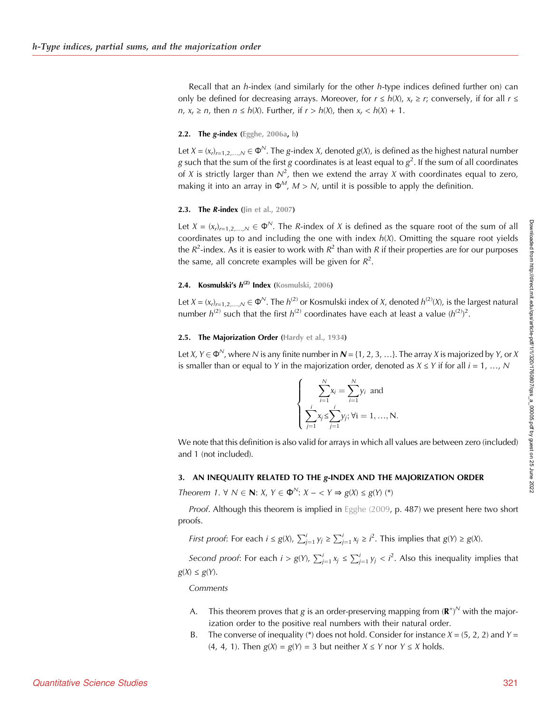Recall that an *h*-index (and similarly for the other *h*-type indices defined further on) can only be defined for decreasing arrays. Moreover, for  $r \le h(X)$ ,  $x_r \ge r$ ; conversely, if for all  $r \le$ n,  $x_r \ge n$ , then  $n \le h(X)$ . Further, if  $r > h(X)$ , then  $x_r < h(X) + 1$ .

#### 2.2. The  $g$ -index ([Egghe, 2006a](#page-10-0), [b](#page-10-0))

Let  $X = (x_r)_{r=1,2,...,N} \in \Phi^N$ . The g-index X, denoted  $g(X)$ , is defined as the highest natural number g such that the sum of the first g coordinates is at least equal to  $g^2$ . If the sum of all coordinates of X is strictly larger than  $N^2$ , then we extend the array X with coordinates equal to zero, making it into an array in  $\Phi^M$ ,  $M > N$ , until it is possible to apply the definition.

## **2.3.** The *R*-index [\(Jin et al., 2007](#page-10-0))

Let  $X = (x_r)_{r=1,2,...,N} \in \Phi^N$ . The R-index of X is defined as the square root of the sum of all coordinates up to and including the one with index  $h(X)$ . Omitting the square root yields the  $R^2$ -index. As it is easier to work with  $R^2$  than with R if their properties are for our purposes the same, all concrete examples will be given for  $R^2$ .

## 2.4. Kosmulski's  $h^{(2)}$  Index ([Kosmulski, 2006](#page-10-0))

Let  $X = (x_n)_{n=1,2,...,N} \in \Phi^N$ . The  $h^{(2)}$  or Kosmulski index of X, denoted  $h^{(2)}(X)$ , is the largest natural number  $h^{(2)}$  such that the first  $h^{(2)}$  coordinates have each at least a value  $(h^{(2)})^2$ .

#### 2.5. The Majorization Order ([Hardy et al., 1934\)](#page-10-0)

Let X,  $Y \in \Phi^N$ , where N is any finite number in  $N = \{1, 2, 3, \ldots\}$ . The array X is majorized by Y, or X is smaller than or equal to Y in the majorization order, denoted as  $X \le Y$  if for all  $i = 1, ..., N$ 

$$
\begin{cases}\n\sum_{i=1}^{N} x_i = \sum_{i=1}^{N} y_i \text{ and} \\
\sum_{j=1}^{i} x_j \le \sum_{j=1}^{i} y_j; \forall i = 1, ..., N.\n\end{cases}
$$

We note that this definition is also valid for arrays in which all values are between zero (included) and 1 (not included).

#### 3. AN INEQUALITY RELATED TO THE g-INDEX AND THE MAJORIZATION ORDER

Theorem 1.  $\forall N \in \mathbb{N}$ :  $X, Y \in \Phi^N$ :  $X - \langle Y \Rightarrow g(X) \leq g(Y) \rangle$  (\*)

Proof. Although this theorem is implied in [Egghe \(2009,](#page-10-0) p. 487) we present here two short proofs.

*First proof*: For each  $i \le g(X)$ ,  $\sum_{j=1}^{i} y_j \ge \sum_{j=1}^{i} x_j \ge i^2$ . This implies that  $g(Y) \ge g(X)$ .

Second proof: For each  $i > g(Y)$ ,  $\sum_{j=1}^{i} x_j \leq \sum_{j=1}^{i} y_j < i^2$ . Also this inequality implies that  $g(X) \le g(Y)$ .

Comments

- A. This theorem proves that g is an order-preserving mapping from  $(\mathbf{R}^+)^N$  with the majorization order to the positive real numbers with their natural order.
- B. The converse of inequality (\*) does not hold. Consider for instance  $X = (5, 2, 2)$  and  $Y =$ (4, 4, 1). Then  $g(X) = g(Y) = 3$  but neither  $X \le Y$  nor  $Y \le X$  holds.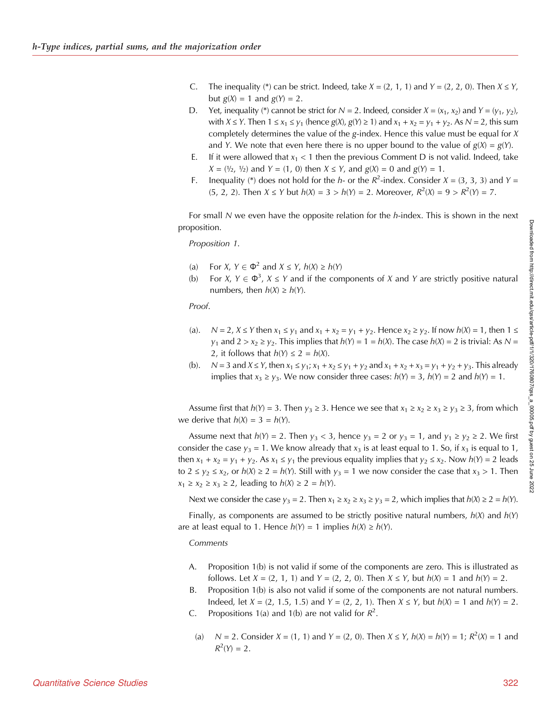- C. The inequality (\*) can be strict. Indeed, take  $X = (2, 1, 1)$  and  $Y = (2, 2, 0)$ . Then  $X \le Y$ , but  $g(X) = 1$  and  $g(Y) = 2$ .
- D. Yet, inequality (\*) cannot be strict for  $N = 2$ . Indeed, consider  $X = (x_1, x_2)$  and  $Y = (y_1, y_2)$ , with  $X \le Y$ . Then  $1 \le x_1 \le y_1$  (hence  $g(X), g(Y) \ge 1$ ) and  $x_1 + x_2 = y_1 + y_2$ . As  $N = 2$ , this sum completely determines the value of the g-index. Hence this value must be equal for X and Y. We note that even here there is no upper bound to the value of  $g(X) = g(Y)$ .
- E. If it were allowed that  $x_1 < 1$  then the previous Comment D is not valid. Indeed, take  $X = (\frac{1}{2}, \frac{1}{2})$  and  $Y = (1, 0)$  then  $X \le Y$ , and  $g(X) = 0$  and  $g(Y) = 1$ .
- F. Inequality (\*) does not hold for the *h* or the  $R^2$ -index. Consider  $X = (3, 3, 3)$  and  $Y =$ (5, 2, 2). Then  $X \le Y$  but  $h(X) = 3 > h(Y) = 2$ . Moreover,  $R^2(X) = 9 > R^2(Y) = 7$ .

For small N we even have the opposite relation for the  $h$ -index. This is shown in the next proposition.

Proposition 1.

- (a) For X,  $Y \in \Phi^2$  and  $X \le Y$ ,  $h(X) \ge h(Y)$ <br>(b) For X,  $Y \in \Phi^3$ ,  $X \le Y$  and if the com
- (b) For  $X, Y \in \Phi^3$ ,  $X \le Y$  and if the components of X and Y are strictly positive natural numbers, then  $h(X) \ge h(Y)$ .

Proof.

- (a).  $N = 2$ ,  $X \le Y$  then  $x_1 \le y_1$  and  $x_1 + x_2 = y_1 + y_2$ . Hence  $x_2 \ge y_2$ . If now  $h(X) = 1$ , then  $1 \le$  $y_1$  and  $2 > x_2 \ge y_2$ . This implies that  $h(Y) = 1 = h(X)$ . The case  $h(X) = 2$  is trivial: As N = 2, it follows that  $h(Y) \le 2 = h(X)$ .
- (b).  $N = 3$  and  $X \le Y$ , then  $x_1 \le y_1$ ;  $x_1 + x_2 \le y_1 + y_2$  and  $x_1 + x_2 + x_3 = y_1 + y_2 + y_3$ . This already implies that  $x_3 \ge y_3$ . We now consider three cases:  $h(Y) = 3$ ,  $h(Y) = 2$  and  $h(Y) = 1$ .

Assume first that  $h(Y) = 3$ . Then  $y_3 \ge 3$ . Hence we see that  $x_1 \ge x_2 \ge x_3 \ge y_3 \ge 3$ , from which we derive that  $h(X) = 3 = h(Y)$ .

Assume next that  $h(Y) = 2$ . Then  $y_3 < 3$ , hence  $y_3 = 2$  or  $y_3 = 1$ , and  $y_1 \ge y_2 \ge 2$ . We first consider the case  $y_3 = 1$ . We know already that  $x_3$  is at least equal to 1. So, if  $x_3$  is equal to 1, then  $x_1 + x_2 = y_1 + y_2$ . As  $x_1 \le y_1$  the previous equality implies that  $y_2 \le x_2$ . Now  $h(Y) = 2$  leads to  $2 \le y_2 \le x_2$ , or  $h(X) \ge 2 = h(Y)$ . Still with  $y_3 = 1$  we now consider the case that  $x_3 > 1$ . Then  $x_1 \ge x_2 \ge x_3 \ge 2$ , leading to  $h(X) \ge 2 = h(Y)$ .

Next we consider the case  $y_3 = 2$ . Then  $x_1 \ge x_2 \ge x_3 \ge y_3 = 2$ , which implies that  $h(X) \ge 2 = h(Y)$ .

Finally, as components are assumed to be strictly positive natural numbers,  $h(X)$  and  $h(Y)$ are at least equal to 1. Hence  $h(Y) = 1$  implies  $h(X) \ge h(Y)$ .

Comments

- A. Proposition 1(b) is not valid if some of the components are zero. This is illustrated as follows. Let  $X = (2, 1, 1)$  and  $Y = (2, 2, 0)$ . Then  $X \le Y$ , but  $h(X) = 1$  and  $h(Y) = 2$ .
- B. Proposition 1(b) is also not valid if some of the components are not natural numbers. Indeed, let  $X = (2, 1.5, 1.5)$  and  $Y = (2, 2, 1)$ . Then  $X \le Y$ , but  $h(X) = 1$  and  $h(Y) = 2$ .
- C. Propositions 1(a) and 1(b) are not valid for  $R^2$ .
- (a)  $N = 2$ . Consider  $X = (1, 1)$  and  $Y = (2, 0)$ . Then  $X \le Y$ ,  $h(X) = h(Y) = 1$ ;  $R^2(X) = 1$  and  $R^2(Y) = 2$ .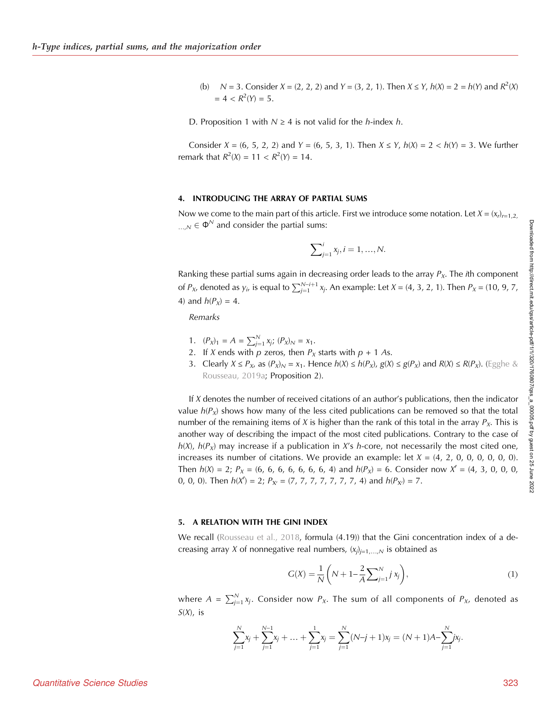- (b)  $N = 3$ . Consider  $X = (2, 2, 2)$  and  $Y = (3, 2, 1)$ . Then  $X \le Y$ ,  $h(X) = 2 = h(Y)$  and  $R^2(X)$  $= 4 < R<sup>2</sup>(Y) = 5.$
- D. Proposition 1 with  $N \geq 4$  is not valid for the *h*-index *h*.

Consider  $X = (6, 5, 2, 2)$  and  $Y = (6, 5, 3, 1)$ . Then  $X \le Y$ ,  $h(X) = 2 < h(Y) = 3$ . We further remark that  $R^2(X) = 11 < R^2(Y) = 14$ .

#### 4. INTRODUCING THE ARRAY OF PARTIAL SUMS

Now we come to the main part of this article. First we introduce some notation. Let  $X = (x_r)_{r=1,2}$ ,  $N \in \Phi^N$  and consider the partial sums:

$$
\sum_{j=1}^{i} x_j, i = 1, ..., N.
$$

Ranking these partial sums again in decreasing order leads to the array  $P<sub>X</sub>$ . The *i*th component of  $P_{X}$ , denoted as  $y_i$ , is equal to  $\sum_{j=1}^{N-i+1} x_j$ . An example: Let  $X = (4, 3, 2, 1)$ . Then  $P_X = (10, 9, 7, 1)$ 4) and  $h(P_X) = 4$ .

Remarks

- 1.  $(P_X)_1 = A = \sum_{j=1}^N x_j$ ;  $(P_X)_N = x_1$ .
- 2. If X ends with  $p$  zeros, then  $P_X$  starts with  $p + 1$  As.
- 3. Clearly  $X \le P_X$ , as  $(P_X)_N = x_1$ . Hence  $h(X) \le h(P_X)$ ,  $g(X) \le g(P_X)$  and  $R(X) \le R(P_X)$ . [\(Egghe &](#page-10-0) [Rousseau, 2019a;](#page-10-0) Proposition 2).

If  $X$  denotes the number of received citations of an author's publications, then the indicator value  $h(P_X)$  shows how many of the less cited publications can be removed so that the total number of the remaining items of X is higher than the rank of this total in the array  $P<sub>X</sub>$ . This is another way of describing the impact of the most cited publications. Contrary to the case of  $h(X)$ ,  $h(P_X)$  may increase if a publication in X's h-core, not necessarily the most cited one, increases its number of citations. We provide an example: let  $X = (4, 2, 0, 0, 0, 0, 0, 0)$ . Then h(X) = 2; PX = (6, 6, 6, 6, 6, 6, 6, 4) and h(PX) = 6. Consider now X<sup>0</sup> = (4, 3, 0, 0, 0, 0, 0, 0). Then  $h(X') = 2$ ;  $P_{X'} = (7, 7, 7, 7, 7, 7, 7, 4)$  and  $h(P_{X'}) = 7$ .

#### 5. A RELATION WITH THE GINI INDEX

We recall ([Rousseau et al., 2018](#page-10-0), formula (4.19)) that the Gini concentration index of a decreasing array X of nonnegative real numbers,  $(\mathsf{x}_j)_{j=1,...,N}$  is obtained as

$$
G(X) = \frac{1}{N} \left( N + 1 - \frac{2}{A} \sum_{j=1}^{N} j x_j \right),
$$
 (1)

where  $A = \sum_{j=1}^{N} x_j$ . Consider now  $P_X$ . The sum of all components of  $P_{X_i}$  denoted as  $S(X)$ , is

$$
\sum_{j=1}^{N} x_j + \sum_{j=1}^{N-1} x_j + \dots + \sum_{j=1}^{1} x_j = \sum_{j=1}^{N} (N-j+1)x_j = (N+1)A - \sum_{j=1}^{N} jx_j.
$$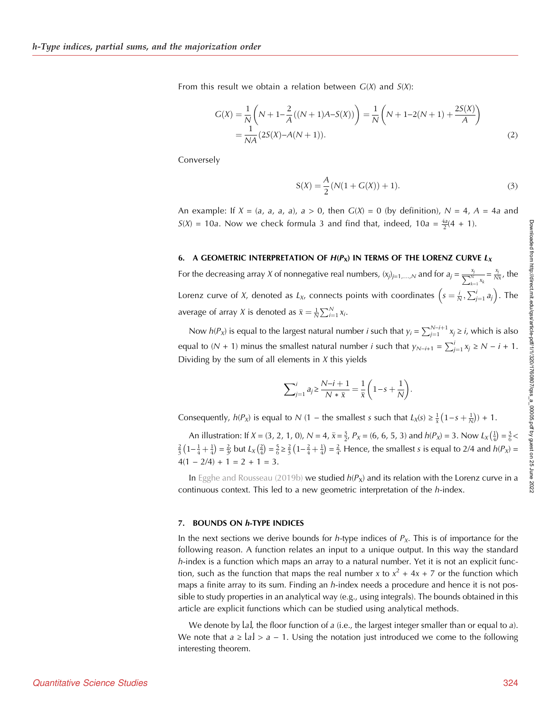From this result we obtain a relation between  $G(X)$  and  $S(X)$ :

$$
G(X) = \frac{1}{N} \left( N + 1 - \frac{2}{A} ((N + 1)A - S(X)) \right) = \frac{1}{N} \left( N + 1 - 2(N + 1) + \frac{2S(X)}{A} \right)
$$
  
= 
$$
\frac{1}{NA} (2S(X) - A(N + 1)).
$$
 (2)

Conversely

$$
S(X) = \frac{A}{2}(N(1 + G(X)) + 1).
$$
 (3)

An example: If  $X = (a, a, a, a)$ ,  $a > 0$ , then  $G(X) = 0$  (by definition),  $N = 4$ ,  $A = 4a$  and  $S(X) = 10a$ . Now we check formula 3 and find that, indeed,  $10a = \frac{4a}{2}(4 + 1)$ .

#### 6. A GEOMETRIC INTERPRETATION OF  $H(P_X)$  IN TERMS OF THE LORENZ CURVE  $L_X$

For the decreasing array X of nonnegative real numbers,  $(x_j)_{j=1,...,N}$  and for  $a_j = \frac{x_j}{\sum_{k=1}^{N} x_k}$  $=\frac{x_j}{N\overline{x}}$ , the Lorenz curve of X, denoted as  $L_{\chi}$ , connects points with coordinates  $\left(s=\frac{i}{N},\sum_{j=1}^i a_j\right)$ . The average of array X is denoted as  $\bar{x} = \frac{1}{N} \sum_{i=1}^{N} x_i$ .

Now  $h(P_x)$  is equal to the largest natural number *i* such that  $y_i = \sum_{j=1}^{N-i+1} x_j \ge i$ , which is also equal to  $(N + 1)$  minus the smallest natural number *i* such that  $y_{N-i+1} = \sum_{j=1}^{i} x_j \ge N - i + 1$ . Dividing by the sum of all elements in  $X$  this yields

$$
\sum_{j=1}^{i} a_j \ge \frac{N-i+1}{N*\bar{x}} = \frac{1}{\bar{x}} \left(1 - s + \frac{1}{N}\right).
$$

Consequently,  $h(P_X)$  is equal to N (1 – the smallest s such that  $L_X(s) \geq \frac{1}{\bar{x}}(1-s+\frac{1}{N}) + 1$ .

An illustration: If  $X = (3, 2, 1, 0)$ ,  $N = 4$ ,  $\bar{x} = \frac{3}{2}$ ,  $P_X = (6, 6, 5, 3)$  and  $h(P_X) = 3$ . Now  $L_X(\frac{1}{4}) = \frac{3}{6}$  $\frac{2}{3}(1-\frac{1}{4}+\frac{1}{4})=\frac{2}{3}$  but  $L_X(\frac{2}{4})=\frac{5}{6}\geq \frac{2}{3}(1-\frac{2}{4}+\frac{1}{4})=\frac{2}{4}$ . Hence, the smallest s is equal to 2/4 and  $h(P_X)=$  $4(1 - 2/4) + 1 = 2 + 1 = 3.$ 

In [Egghe and Rousseau \(2019b\)](#page-10-0) we studied  $h(P_x)$  and its relation with the Lorenz curve in a continuous context. This led to a new geometric interpretation of the h-index.

#### 7. BOUNDS ON h-TYPE INDICES

In the next sections we derive bounds for *h*-type indices of  $P<sub>x</sub>$ . This is of importance for the following reason. A function relates an input to a unique output. In this way the standard  $h$ -index is a function which maps an array to a natural number. Yet it is not an explicit function, such as the function that maps the real number x to  $x^2 + 4x + 7$  or the function which maps a finite array to its sum. Finding an  $h$ -index needs a procedure and hence it is not possible to study properties in an analytical way (e.g., using integrals). The bounds obtained in this article are explicit functions which can be studied using analytical methods.

We denote by  $l_a$ , the floor function of a (i.e., the largest integer smaller than or equal to a). We note that  $a \geq |a| > a - 1$ . Using the notation just introduced we come to the following interesting theorem.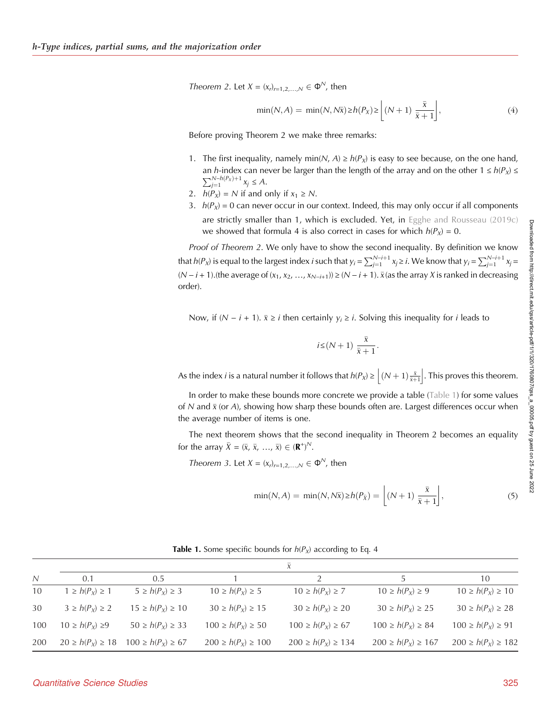Theorem 2. Let  $X = (x_r)_{r=1,2,...,N} \in \Phi^N$ , then

$$
\min(N, A) = \min(N, N\overline{x}) \ge h(P_X) \ge \left[ (N+1) \frac{\overline{x}}{\overline{x}+1} \right],\tag{4}
$$

Before proving Theorem 2 we make three remarks:

- 1. The first inequality, namely min( $N$ ,  $A$ )  $\geq h(P_X)$  is easy to see because, on the one hand, an h-index can never be larger than the length of the array and on the other  $1 \leq h(P_X) \leq$  $\sum_{j=1}^{N-h(P_X)+1} x_j \leq A.$
- 2.  $h(P_X) = N$  if and only if  $x_1 \ge N$ .
- 3.  $h(P_X) = 0$  can never occur in our context. Indeed, this may only occur if all components are strictly smaller than 1, which is excluded. Yet, in [Egghe and Rousseau \(2019c\)](#page-10-0) we showed that formula 4 is also correct in cases for which  $h(P_X) = 0$ .

Proof of Theorem 2. We only have to show the second inequality. By definition we know that  $h(P_X)$  is equal to the largest index *i* such that  $y_i = \sum_{j=1}^{N-i+1} x_j \ge i$ . We know that  $y_i = \sum_{j=1}^{N-i+1} x_j =$ (N − i + 1).(the average of (x<sub>1</sub>, x<sub>2</sub>, …, x<sub>N−i+1</sub>)) ≥ (N − i + 1).  $\bar{x}$ (as the array X is ranked in decreasing order).

Now, if ( $N - i + 1$ ).  $\bar{x} \ge i$  then certainly  $y_i \ge i$ . Solving this inequality for *i* leads to

$$
i \leq (N+1) \frac{\bar{x}}{\bar{x}+1}.
$$

As the index *i* is a natural number it follows that  $h(P_x) \ge \left\lfloor (N+1)\frac{\bar{x}}{\bar{x}+1} \right\rfloor$ . This proves this theorem.

In order to make these bounds more concrete we provide a table (Table 1) for some values of N and  $\bar{x}$  (or A), showing how sharp these bounds often are. Largest differences occur when the average number of items is one.

The next theorem shows that the second inequality in Theorem 2 becomes an equality for the array  $\bar{X} = (\bar{x}, \bar{x}, ..., \bar{x}) \in (\mathbf{R}^+)^N$ .

Theorem 3. Let  $X = (x_r)_{r=1,2,...,N} \in \Phi^N$ , then

$$
\min(N, A) = \min(N, N\bar{x}) \ge h(P_{\bar{x}}) = \left[ (N+1) \frac{\bar{x}}{\bar{x}+1} \right],\tag{5}
$$

|     | $\overline{X}$         |                         |                          |                          |                          |                          |
|-----|------------------------|-------------------------|--------------------------|--------------------------|--------------------------|--------------------------|
| N   | 0.1                    | $0.5^{\circ}$           |                          |                          |                          | 10                       |
| 10  | $1 \ge h(P_x) \ge 1$   | $5 \geq h(P_x) \geq 3$  | $10 \ge h(P_X) \ge 5$    | $10 \ge h(P_x) \ge 7$    | $10 \ge h(P_x) \ge 9$    | $10 \ge h(P_x) \ge 10$   |
| 30  | $3 \geq h(P_X) \geq 2$ | $15 \ge h(P_X) \ge 10$  | $30 \ge h(P_X) \ge 15$   | $30 \ge h(P_X) \ge 20$   | $30 \ge h(P_X) \ge 25$   | $30 \ge h(P_X) \ge 28$   |
| 100 | $10 \ge h(P_X) \ge 9$  | $50 \ge h(P_X) \ge 33$  | $100 \ge h(P_X) \ge 50$  | $100 \ge h(P_X) \ge 67$  | $100 \ge h(P_X) \ge 84$  | $100 \ge h(P_X) \ge 91$  |
| 200 | $20 \ge h(P_x) \ge 18$ | $100 \ge h(P_x) \ge 67$ | $200 \ge h(P_x) \ge 100$ | $200 \ge h(P_x) \ge 134$ | $200 \ge h(P_x) \ge 167$ | $200 \ge h(P_x) \ge 182$ |

**Table 1.** Some specific bounds for  $h(P_X)$  according to Eq. 4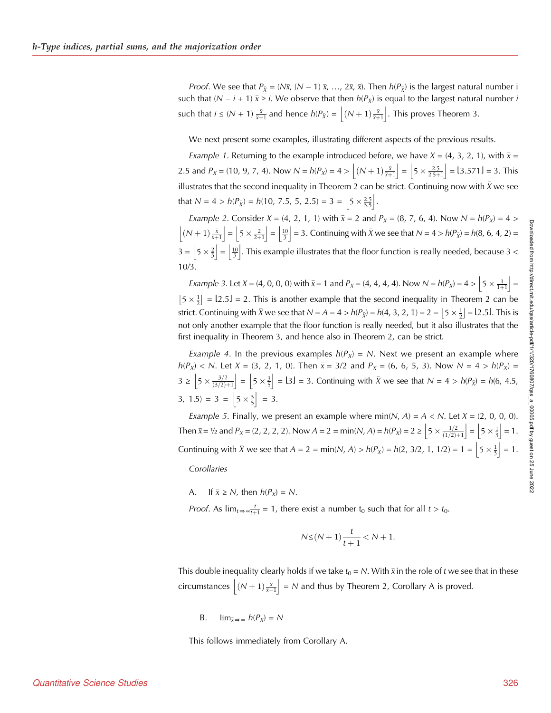*Proof.* We see that  $P_{\bar{x}} = (N\bar{x}, (N-1)\bar{x}, ..., 2\bar{x}, \bar{x})$ . Then  $h(P_{\bar{x}})$  is the largest natural number i such that (N –  $i$  + 1)  $\bar{x}$  ≥  $i$ . We observe that then  $h(P_{\bar{X}})$  is equal to the largest natural number  $i$ such that  $i \leq (N + 1) \frac{\bar{x}}{\bar{x}+1}$  and hence  $h(P_{\bar{X}}) = \left\lfloor (N + 1) \frac{\bar{x}}{\bar{x}+1} \right\rfloor$ . This proves Theorem 3.

We next present some examples, illustrating different aspects of the previous results.

*Example 1*. Returning to the example introduced before, we have  $X = (4, 3, 2, 1)$ , with  $\bar{x} =$ 2.5 and  $P_X = (10, 9, 7, 4)$ . Now  $N = h(P_X) = 4 > \left[ (N + 1) \frac{\overline{x}}{\overline{x} + 1} \right] = \left[ 5 \times \frac{2.5}{2.5 + 1} \right] = 13.571 \text{ J} = 3$ . This illustrates that the second inequality in Theorem 2 can be strict. Continuing now with  $\bar{X}$  we see that  $N = 4 > h(P_{\bar{X}}) = h(10, 7.5, 5, 2.5) = 3 = \left| 5 \times \frac{2.5}{3.5} \right|$ .

*Example 2.* Consider *X* = (4, 2, 1, 1) with  $\bar{x} = 2$  and  $P_x = (8, 7, 6, 4)$ . Now *N* =  $h(P_x) = 4$  >  $\left[\left(N+1\right)\frac{\bar{x}}{\bar{x}+1}\right]=\left[5\times\frac{2}{2+1}\right]=\left[\frac{10}{3}\right]=3.$  Continuing with  $\bar{X}$  we see that  $N=4>h(P_{\bar{X}})=h(8, 6, 4, 2)=1$  $3 = |5 \times \frac{2}{3}| = |\frac{10}{3}|$ . This example illustrates that the floor function is really needed, because 3 < 10/3.

*Example 3.* Let  $X = (4, 0, 0, 0)$  with  $\bar{x} = 1$  and  $P_X = (4, 4, 4, 4)$ . Now  $N = h(P_X) = 4 > \left[5 \times \frac{1}{1+1}\right] =$  $\left[5 \times \frac{1}{2}\right] = \left[2.5\right] = 2$ . This is another example that the second inequality in Theorem 2 can be strict. Continuing with  $\bar{X}$  we see that  $N = A = 4 > h(P_{\bar{X}}) = h(4, 3, 2, 1) = 2 = \left[ 5 \times \frac{1}{2} \right] = 12.51$ . This is not only another example that the floor function is really needed, but it also illustrates that the first inequality in Theorem 3, and hence also in Theorem 2, can be strict.

*Example 4.* In the previous examples  $h(P_X) = N$ . Next we present an example where  $h(P_X) < N$ . Let  $X = (3, 2, 1, 0)$ . Then  $\bar{x} = 3/2$  and  $P_X = (6, 6, 5, 3)$ . Now  $N = 4 > h(P_X) =$  $3 \ge \left[5 \times \frac{3}{2} \left(5 \times \frac{3}{2}\right)\right] = \left[5 \times \frac{3}{5}\right] = 13$  = 3. Continuing with  $\bar{X}$  we see that  $N = 4 > h(P_{\bar{X}}) = h(6, 4.5,$  $3, 1.5$  = 3 =  $\left|5 \times \frac{3}{5}\right|$  = 3.

Example 5. Finally, we present an example where min(N, A) =  $A < N$ . Let  $X = (2, 0, 0, 0)$ . Then  $\bar{x} = \frac{1}{2}$  and  $P_x = (2, 2, 2, 2)$ . Now  $A = 2 = \min(N, A) = h(P_x) = 2 \ge \left[ 5 \times \frac{1}{2} \right] = \left[ 5 \times \frac{1}{3} \right] = 1$ . Continuing with  $\bar{X}$  we see that  $A = 2 = \min(N, A) > h(P_{\bar{X}}) = h(2, 3/2, 1, 1/2) = 1 = |5 \times \frac{1}{3}| = 1$ .

**Corollaries** 

A. If  $\bar{x} \ge N$ , then  $h(P_X) = N$ .

*Proof.* As  $\lim_{t \to \infty} \frac{t}{t+1} = 1$ , there exist a number  $t_0$  such that for all  $t > t_0$ .

$$
N \le (N+1)\frac{t}{t+1} < N+1.
$$

This double inequality clearly holds if we take  $t_0$  = N. With  $\bar{\mathrm{x}}$  in the role of  $t$  we see that in these circumstances  $\left\lfloor (N+1)\frac{\bar{x}}{\bar{x}+1}\right\rfloor = N$  and thus by Theorem 2, Corollary A is proved.

B. 
$$
\lim_{\bar{x} \to \infty} h(P_X) = N
$$

This follows immediately from Corollary A.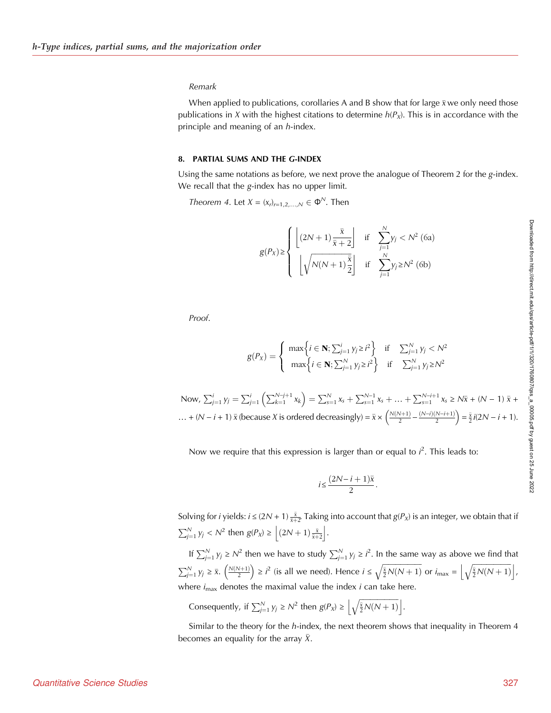#### Remark

When applied to publications, corollaries A and B show that for large  $\bar{x}$  we only need those publications in X with the highest citations to determine  $h(P_X)$ . This is in accordance with the principle and meaning of an *h*-index.

#### 8. PARTIAL SUMS AND THE G-INDEX

Using the same notations as before, we next prove the analogue of Theorem 2 for the g-index. We recall that the g-index has no upper limit.

Theorem 4. Let  $X = (x_r)_{r=1,2,...,N} \in \Phi^N$ . Then

$$
g(P_X) \ge \left\{ \begin{array}{ll} \left\lfloor (2N+1)\frac{\bar{x}}{\bar{x}+2} \right\rfloor & \text{if} \quad \sum_{j=1}^N y_j < N^2 \text{ (6a)}\\ \left\lfloor \sqrt{N(N+1)\frac{\bar{x}}{2}} \right\rfloor & \text{if} \quad \sum_{j=1}^N y_j \ge N^2 \text{ (6b)} \end{array} \right.
$$

Proof.

$$
g(P_X) = \begin{cases} \max\left\{i \in \mathbf{N}; \sum_{j=1}^i y_j \ge i^2 \right\} & \text{if } \sum_{j=1}^N y_j < N^2\\ \max\left\{i \in \mathbf{N}; \sum_{j=1}^N y_j \ge i^2 \right\} & \text{if } \sum_{j=1}^N y_j \ge N^2 \end{cases}
$$

Now,  $\sum_{j=1}^{i} y_j = \sum_{j=1}^{i} \left( \sum_{k=1}^{N-j+1} x_k \right) = \sum_{s=1}^{N} x_s + \sum_{s=1}^{N-1} x_s + \dots + \sum_{s=1}^{N-i+1} x_s \ge N\bar{x} + (N-1)\bar{x} +$ ... + (N − i + 1)  $\bar{x}$  (because X is ordered decreasingly) =  $\bar{x} \times \left(\frac{N(N+1)}{2} - \frac{(N-i)(N-i+1)}{2}\right) = \frac{\bar{x}}{2}i(2N-i+1)$ .

Now we require that this expression is larger than or equal to  $i^2$ . This leads to:

$$
i\!\leq\!\frac{(2N\!-\!i+1)\bar{x}}{2}.
$$

Solving for *i* yields:  $i \leq (2N + 1) \frac{\bar{x}}{\bar{x} + 2}$  Taking into account that  $g(P_x)$  is an integer, we obtain that if  $\sum_{j=1}^{N} y_j < N^2$  then  $g(P_X) \ge \left\lfloor (2N+1)\frac{\overline{x}}{\overline{x}+2} \right\rfloor$ .

If  $\sum_{j=1}^{N} y_j \ge N^2$  then we have to study  $\sum_{j=1}^{N} y_j \ge i^2$ . In the same way as above we find that  $\sum_{j=1}^{N} y_j \ge \bar{x}$ .  $\left(\frac{N(N+1)}{2}\right) \ge i^2$  (is all we need). Hence  $i \le \sqrt{\frac{\bar{x}}{2}N(N+1)}$  or  $i_{\max} = \left\lfloor \sqrt{\frac{\bar{x}}{2}N(N+1)} \right\rfloor$ , where  $i_{\text{max}}$  denotes the maximal value the index *i* can take here.

Consequently, if  $\sum_{j=1}^{N} y_j \ge N^2$  then  $g(P_X) \ge \left\lfloor \sqrt{\frac{\overline{x}}{2}N(N+1)} \right\rfloor$ .

Similar to the theory for the h-index, the next theorem shows that inequality in Theorem 4 becomes an equality for the array  $\bar{X}$ .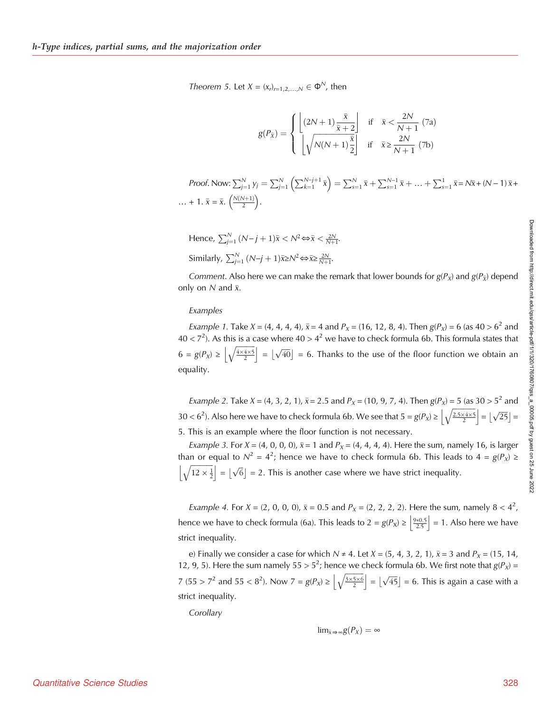Theorem 5. Let  $X = (x_r)_{r=1,2,...,N} \in \Phi^N$ , then

$$
g(P_{\bar{x}}) = \begin{cases} \left\lfloor \frac{(2N+1)\frac{\bar{x}}{\bar{x}+2}}{\frac{1}{N+1}} \right\rfloor & \text{if } \bar{x} < \frac{2N}{N+1} \text{ (7a)}\\ \left\lfloor \sqrt{N(N+1)\frac{\bar{x}}{2}} \right\rfloor & \text{if } \bar{x} \ge \frac{2N}{N+1} \text{ (7b)} \end{cases}
$$

Proof. Now:  $\sum_{j=1}^{N} y_j = \sum_{j=1}^{N} \left( \sum_{k=1}^{N-j+1} \bar{x} \right) = \sum_{s=1}^{N} \bar{x} + \sum_{s=1}^{N-1} \bar{x} + ... + \sum_{s=1}^{1} \bar{x} = N \bar{x} + (N-1) \bar{x} + ...$ ... + 1.  $\bar{x} = \bar{x}$ .  $\left(\frac{N(N+1)}{2}\right)$ .

Hence, 
$$
\sum_{j=1}^{N} (N-j+1)\bar{x} < N^2 \Leftrightarrow \bar{x} < \frac{2N}{N+1}
$$
.  
Similarly,  $\sum_{j=1}^{N} (N-j+1)\bar{x} \ge N^2 \Leftrightarrow \bar{x} \ge \frac{2N}{N+1}$ .

*Comment.* Also here we can make the remark that lower bounds for  $g(P_X)$  and  $g(P_{\bar{X}})$  depend only on  $N$  and  $\bar{x}$ .

#### Examples

*Example 1.* Take *X* = (4, 4, 4, 4),  $\bar{x}$  = 4 and *P*<sub>*x*</sub> = (16, 12, 8, 4). Then *g*(*P<sub>x</sub>*) = 6 (as 40 > 6<sup>2</sup> and 40 < 7<sup>2</sup>). As this is a case where 40 > 4<sup>2</sup> we have to check formula 6b. This formula states that  $6 = g(P_X) \ge \left| \sqrt{\frac{4 \times 4 \times 5}{2}} \right| = \left| \sqrt{40} \right| = 6$ . Thanks to the use of the floor function we obtain an equality.

*Example 2.* Take *X* = (4, 3, 2, 1),  $\bar{x}$  = 2.5 and *P*<sub>*X*</sub> = (10, 9, 7, 4). Then *g*(*P<sub>X</sub>*) = 5 (as 30 > 5<sup>2</sup> and  $30 < 6^2$ ). Also here we have to check formula 6b. We see that  $5 = g(P_X) \ge \left\lfloor\sqrt{\frac{2.5 \times 4 \times 5}{2}}\right\rfloor = \left\lfloor\sqrt{25}\right\rfloor = 1$ 5. This is an example where the floor function is not necessary.

*Example 3. For X* = (4, 0, 0, 0),  $\bar{x}$  = 1 and  $P_x$  = (4, 4, 4, 4). Here the sum, namely 16, is larger than or equal to  $N^2 = 4^2$ ; hence we have to check formula 6b. This leads to  $4 = g(P_X) \ge$  $\left|\sqrt{12 \times \frac{1}{2}}\right| = \lfloor \sqrt{6} \rfloor = 2$ . This is another case where we have strict inequality.

Example 4. For  $X = (2, 0, 0, 0)$ ,  $\bar{x} = 0.5$  and  $P_X = (2, 2, 2, 2)$ . Here the sum, namely  $8 < 4^2$ , hence we have to check formula (6a). This leads to  $2 = g(P_X) \ge \left| \frac{9*0.5}{2.5} \right| = 1$ . Also here we have strict inequality.

e) Finally we consider a case for which N ≠ 4. Let X = (5, 4, 3, 2, 1), -x = 3 and PX = (15, 14, 12, 9, 5). Here the sum namely  $55 > 5^2$ ; hence we check formula 6b. We first note that  $g(P_X)$  = 7 (55 >  $7^2$  and 55 <  $8^2$ ). Now  $7 = g(P_X) \ge \left| \sqrt{\frac{3 \times 5 \times 6}{2}} \right| = \left\lfloor \sqrt{45} \right\rfloor = 6$ . This is again a case with a strict inequality.

**Corollary** 

$$
\text{lim}_{\bar{x}\Rightarrow\infty}g(P_X)=\infty
$$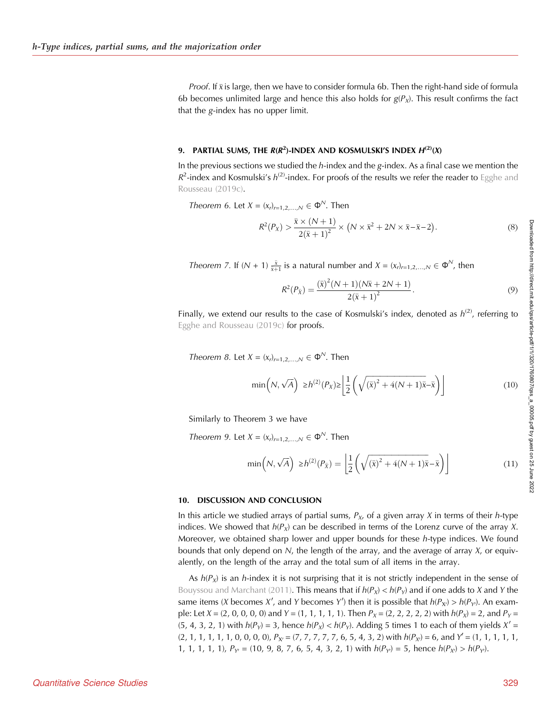*Proof.* If  $\bar{x}$  is large, then we have to consider formula 6b. Then the right-hand side of formula 6b becomes unlimited large and hence this also holds for  $g(P_X)$ . This result confirms the fact that the g-index has no upper limit.

## 9. PARTIAL SUMS, THE  $R(R^2)$ -INDEX AND KOSMULSKI'S INDEX  $H^{(2)}(X)$

In the previous sections we studied the h-index and the g-index. As a final case we mention the  $R^2$ -index and Kosmulski's  $h^{(2)}$ -index. For proofs of the results we refer the reader to [Egghe and](#page-10-0) [Rousseau \(2019c\)](#page-10-0).

Theorem 6. Let  $X = (x_r)_{r=1,2,\dots,N} \in \Phi^N$ . Then

$$
R^2(P_X) > \frac{\bar{x} \times (N+1)}{2(\bar{x}+1)^2} \times (N \times \bar{x}^2 + 2N \times \bar{x} - \bar{x} - 2).
$$
 (8)

*Theorem 7.* If  $(N + 1)$   $\frac{\bar{x}}{\bar{x}+1}$  is a natural number and  $X = (x_r)_{r=1,2,...,N} \in \Phi^N$ , then

$$
R^{2}(P_{\bar{X}}) = \frac{(\bar{x})^{2}(N+1)(N\bar{x}+2N+1)}{2(\bar{x}+1)^{2}}.
$$
\n(9)

Finally, we extend our results to the case of Kosmulski's index, denoted as  $h^{(2)}$ , referring to [Egghe and Rousseau \(2019c\)](#page-10-0) for proofs.

Theorem 8. Let  $X = (x_i)_{i=1,2,...,N} \in \Phi^N$ . Then

$$
\min\left(N, \sqrt{A}\right) \ge h^{(2)}(P_X) \ge \left\lfloor \frac{1}{2} \left(\sqrt{(\bar{x})^2 + 4(N+1)\bar{x}} - \bar{x}\right) \right\rfloor \tag{10}
$$

Similarly to Theorem 3 we have

Theorem 9. Let  $X = (x_r)_{r=1,2}$ ,  $N \in \Phi^N$ . Then

$$
\min\left(N, \sqrt{A}\right) \ge h^{(2)}(P_{\bar{X}}) = \left\lfloor \frac{1}{2} \left( \sqrt{(\bar{x})^2 + 4(N+1)\bar{x}} - \bar{x} \right) \right\rfloor \tag{11}
$$

#### 10. DISCUSSION AND CONCLUSION

In this article we studied arrays of partial sums,  $P_X$ , of a given array X in terms of their h-type indices. We showed that  $h(P_X)$  can be described in terms of the Lorenz curve of the array X. Moreover, we obtained sharp lower and upper bounds for these  $h$ -type indices. We found bounds that only depend on  $N$ , the length of the array, and the average of array  $X$ , or equivalently, on the length of the array and the total sum of all items in the array.

As  $h(P_X)$  is an h-index it is not surprising that it is not strictly independent in the sense of [Bouyssou and Marchant \(2011\)](#page-10-0). This means that if  $h(P_X) < h(P_Y)$  and if one adds to X and Y the same items (X becomes X', and Y becomes Y') then it is possible that  $h(P_{X'}) > h(P_{Y'})$ . An example: Let  $X = (2, 0, 0, 0, 0)$  and  $Y = (1, 1, 1, 1, 1)$ . Then  $P_X = (2, 2, 2, 2, 2)$  with  $h(P_X) = 2$ , and  $P_Y =$ (5, 4, 3, 2, 1) with  $h(P_Y) = 3$ , hence  $h(P_X) < h(P_Y)$ . Adding 5 times 1 to each of them yields  $X' =$ (2, 1, 1, 1, 1, 1, 0, 0, 0, 0), PX<sup>0</sup> = (7, 7, 7, 7, 7, 6, 5, 4, 3, 2) with h(PX0) = 6, and Y<sup>0</sup> = (1, 1, 1, 1, 1, 1, 1, 1, 1, 1),  $P_{Y} = (10, 9, 8, 7, 6, 5, 4, 3, 2, 1)$  with  $h(P_{Y}) = 5$ , hence  $h(P_{X}) > h(P_{Y})$ .